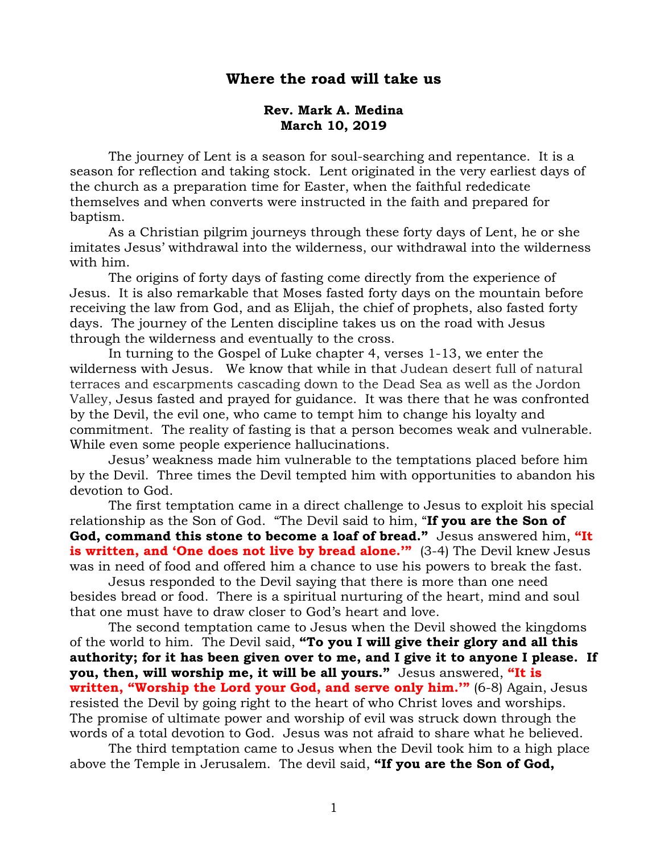# **Where the road will take us**

#### **Rev. Mark A. Medina March 10, 2019**

The journey of Lent is a season for soul-searching and repentance. It is a season for reflection and taking stock. Lent originated in the very earliest days of the church as a preparation time for Easter, when the faithful rededicate themselves and when converts were instructed in the faith and prepared for baptism.

As a Christian pilgrim journeys through these forty days of Lent, he or she imitates Jesus' withdrawal into the wilderness, our withdrawal into the wilderness with him.

The origins of forty days of fasting come directly from the experience of Jesus. It is also remarkable that Moses fasted forty days on the mountain before receiving the law from God, and as Elijah, the chief of prophets, also fasted forty days. The journey of the Lenten discipline takes us on the road with Jesus through the wilderness and eventually to the cross.

In turning to the Gospel of Luke chapter 4, verses 1-13, we enter the wilderness with Jesus. We know that while in that Judean desert full of natural terraces and escarpments cascading down to the Dead Sea as well as the Jordon Valley, Jesus fasted and prayed for guidance. It was there that he was confronted by the Devil, the evil one, who came to tempt him to change his loyalty and commitment. The reality of fasting is that a person becomes weak and vulnerable. While even some people experience hallucinations.

Jesus' weakness made him vulnerable to the temptations placed before him by the Devil. Three times the Devil tempted him with opportunities to abandon his devotion to God.

The first temptation came in a direct challenge to Jesus to exploit his special relationship as the Son of God. "The Devil said to him, "**If you are the Son of God, command this stone to become a loaf of bread."** Jesus answered him, **"It is written, and 'One does not live by bread alone.'"** (3-4) The Devil knew Jesus was in need of food and offered him a chance to use his powers to break the fast.

Jesus responded to the Devil saying that there is more than one need besides bread or food. There is a spiritual nurturing of the heart, mind and soul that one must have to draw closer to God's heart and love.

The second temptation came to Jesus when the Devil showed the kingdoms of the world to him. The Devil said, **"To you I will give their glory and all this authority; for it has been given over to me, and I give it to anyone I please. If you, then, will worship me, it will be all yours."** Jesus answered, **"It is written, "Worship the Lord your God, and serve only him.'"** (6-8) Again, Jesus resisted the Devil by going right to the heart of who Christ loves and worships. The promise of ultimate power and worship of evil was struck down through the words of a total devotion to God. Jesus was not afraid to share what he believed.

The third temptation came to Jesus when the Devil took him to a high place above the Temple in Jerusalem. The devil said, **"If you are the Son of God,**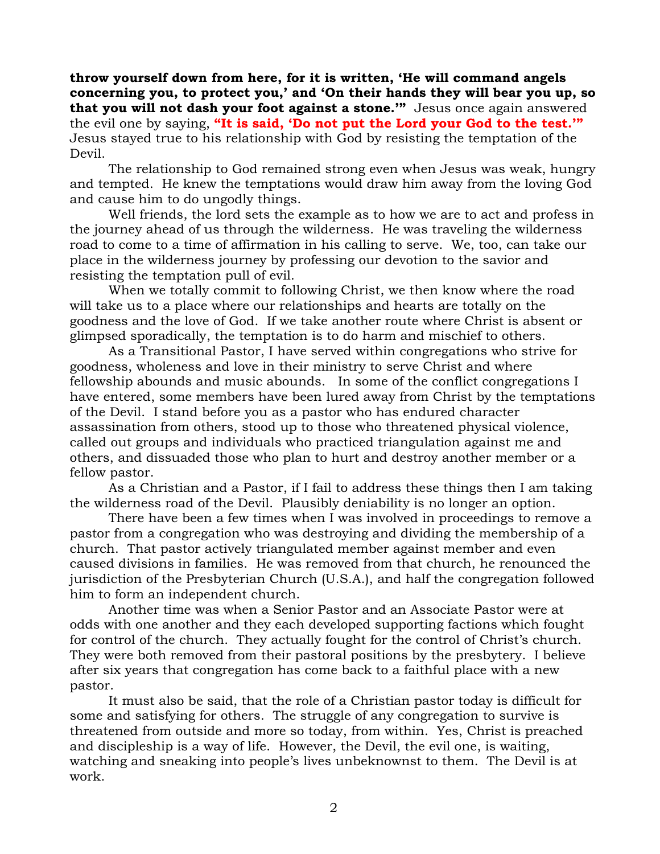**throw yourself down from here, for it is written, 'He will command angels concerning you, to protect you,' and 'On their hands they will bear you up, so that you will not dash your foot against a stone.'"** Jesus once again answered the evil one by saying, **"It is said, 'Do not put the Lord your God to the test.'"** Jesus stayed true to his relationship with God by resisting the temptation of the Devil.

The relationship to God remained strong even when Jesus was weak, hungry and tempted. He knew the temptations would draw him away from the loving God and cause him to do ungodly things.

Well friends, the lord sets the example as to how we are to act and profess in the journey ahead of us through the wilderness. He was traveling the wilderness road to come to a time of affirmation in his calling to serve. We, too, can take our place in the wilderness journey by professing our devotion to the savior and resisting the temptation pull of evil.

When we totally commit to following Christ, we then know where the road will take us to a place where our relationships and hearts are totally on the goodness and the love of God. If we take another route where Christ is absent or glimpsed sporadically, the temptation is to do harm and mischief to others.

As a Transitional Pastor, I have served within congregations who strive for goodness, wholeness and love in their ministry to serve Christ and where fellowship abounds and music abounds. In some of the conflict congregations I have entered, some members have been lured away from Christ by the temptations of the Devil. I stand before you as a pastor who has endured character assassination from others, stood up to those who threatened physical violence, called out groups and individuals who practiced triangulation against me and others, and dissuaded those who plan to hurt and destroy another member or a fellow pastor.

As a Christian and a Pastor, if I fail to address these things then I am taking the wilderness road of the Devil. Plausibly deniability is no longer an option.

There have been a few times when I was involved in proceedings to remove a pastor from a congregation who was destroying and dividing the membership of a church. That pastor actively triangulated member against member and even caused divisions in families. He was removed from that church, he renounced the jurisdiction of the Presbyterian Church (U.S.A.), and half the congregation followed him to form an independent church.

Another time was when a Senior Pastor and an Associate Pastor were at odds with one another and they each developed supporting factions which fought for control of the church. They actually fought for the control of Christ's church. They were both removed from their pastoral positions by the presbytery. I believe after six years that congregation has come back to a faithful place with a new pastor.

It must also be said, that the role of a Christian pastor today is difficult for some and satisfying for others. The struggle of any congregation to survive is threatened from outside and more so today, from within. Yes, Christ is preached and discipleship is a way of life. However, the Devil, the evil one, is waiting, watching and sneaking into people's lives unbeknownst to them. The Devil is at work.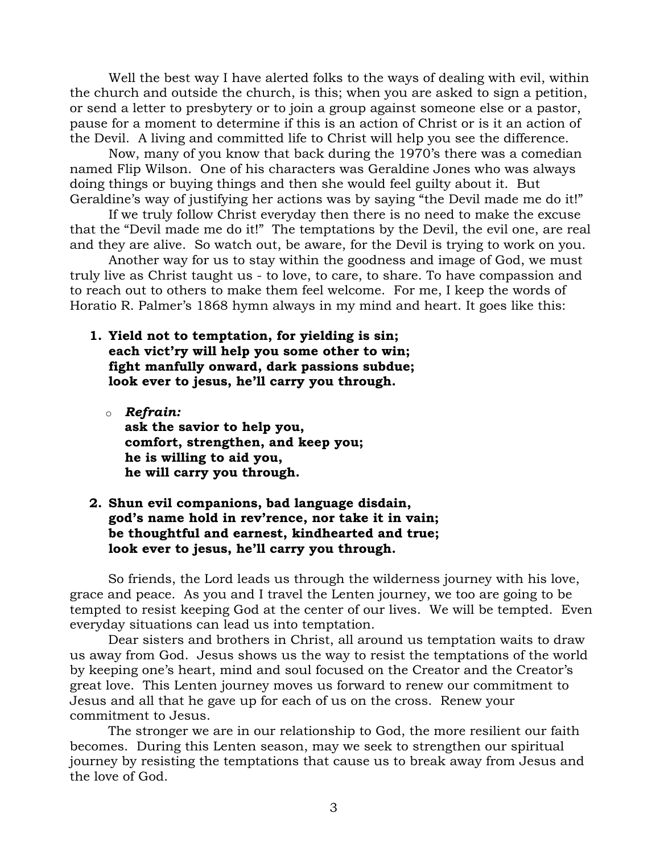Well the best way I have alerted folks to the ways of dealing with evil, within the church and outside the church, is this; when you are asked to sign a petition, or send a letter to presbytery or to join a group against someone else or a pastor, pause for a moment to determine if this is an action of Christ or is it an action of the Devil. A living and committed life to Christ will help you see the difference.

Now, many of you know that back during the 1970's there was a comedian named Flip Wilson. One of his characters was Geraldine Jones who was always doing things or buying things and then she would feel guilty about it. But Geraldine's way of justifying her actions was by saying "the Devil made me do it!"

If we truly follow Christ everyday then there is no need to make the excuse that the "Devil made me do it!" The temptations by the Devil, the evil one, are real and they are alive. So watch out, be aware, for the Devil is trying to work on you.

Another way for us to stay within the goodness and image of God, we must truly live as Christ taught us - to love, to care, to share. To have compassion and to reach out to others to make them feel welcome. For me, I keep the words of Horatio R. Palmer's 1868 hymn always in my mind and heart. It goes like this:

- **1. Yield not to temptation, for yielding is sin; each vict'ry will help you some other to win; fight manfully onward, dark passions subdue; look ever to jesus, he'll carry you through.**
	- o *Refrain:* **ask the savior to help you, comfort, strengthen, and keep you; he is willing to aid you, he will carry you through.**

## **2. Shun evil companions, bad language disdain, god's name hold in rev'rence, nor take it in vain; be thoughtful and earnest, kindhearted and true; look ever to jesus, he'll carry you through.**

So friends, the Lord leads us through the wilderness journey with his love, grace and peace. As you and I travel the Lenten journey, we too are going to be tempted to resist keeping God at the center of our lives. We will be tempted. Even everyday situations can lead us into temptation.

Dear sisters and brothers in Christ, all around us temptation waits to draw us away from God. Jesus shows us the way to resist the temptations of the world by keeping one's heart, mind and soul focused on the Creator and the Creator's great love. This Lenten journey moves us forward to renew our commitment to Jesus and all that he gave up for each of us on the cross. Renew your commitment to Jesus.

The stronger we are in our relationship to God, the more resilient our faith becomes. During this Lenten season, may we seek to strengthen our spiritual journey by resisting the temptations that cause us to break away from Jesus and the love of God.